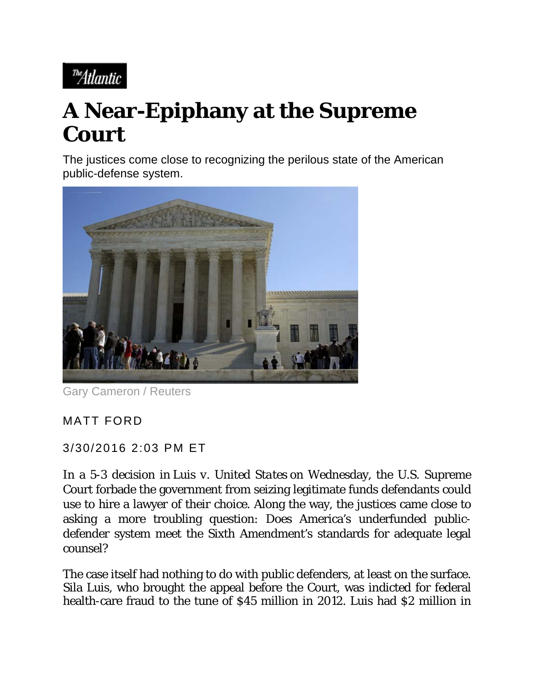<sup>The</sup>Atlantic

## **A Near-Epiphany at the Supreme Court**

The justices come close to recognizing the perilous state of the American public-defense system.



Gary Cameron / Reuters

## MATT FORD

## 3/30/2016 2:03 PM ET

In a 5-3 decision in *Luis v. United States* on Wednesday, the U.S. Supreme Court forbade the government from seizing legitimate funds defendants could use to hire a lawyer of their choice. Along the way, the justices came close to asking a more troubling question: Does America's underfunded publicdefender system meet the Sixth Amendment's standards for adequate legal counsel?

The case itself had nothing to do with public defenders, at least on the surface. Sila Luis, who brought the appeal before the Court, was indicted for federal health-care fraud to the tune of \$45 million in 2012. Luis had \$2 million in